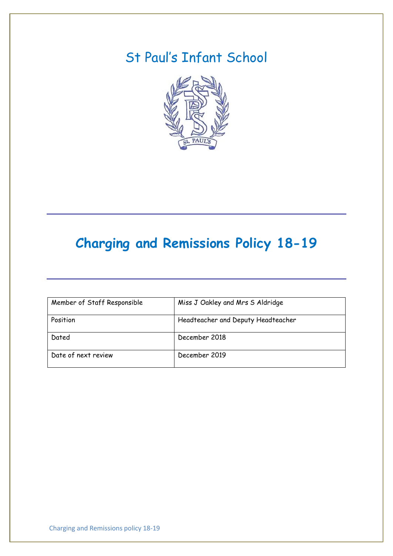# St Paul's Infant School



# **Charging and Remissions Policy 18-19**

| Member of Staff Responsible | Miss J Oakley and Mrs S Aldridge   |
|-----------------------------|------------------------------------|
| Position                    | Headteacher and Deputy Headteacher |
| Dated                       | December 2018                      |
| Date of next review         | December 2019                      |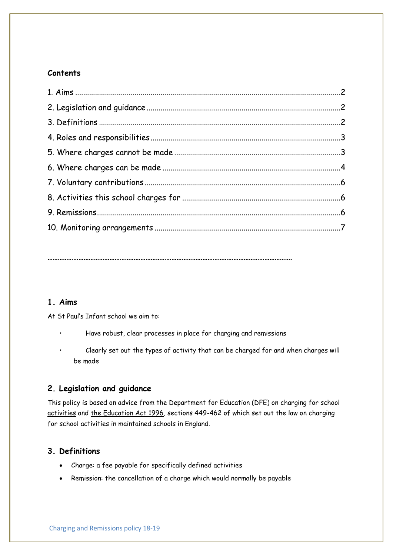# **Contents**

**…………………………………………………………………………………………………………………………….**

# **1. Aims**

At St Paul's Infant school we aim to:

- Have robust, clear processes in place for charging and remissions
- Clearly set out the types of activity that can be charged for and when charges will be made

# **2. Legislation and guidance**

This policy is based on advice from the Department for Education (DFE) on [charging for school](https://www.gov.uk/government/publications/charging-for-school-activities)  [activities](https://www.gov.uk/government/publications/charging-for-school-activities) and [the Education Act 1996,](http://www.legislation.gov.uk/ukpga/1996/56/part/VI/chapter/III) sections 449-462 of which set out the law on charging for school activities in maintained schools in England.

# **3. Definitions**

- Charge: a fee payable for specifically defined activities
- Remission: the cancellation of a charge which would normally be payable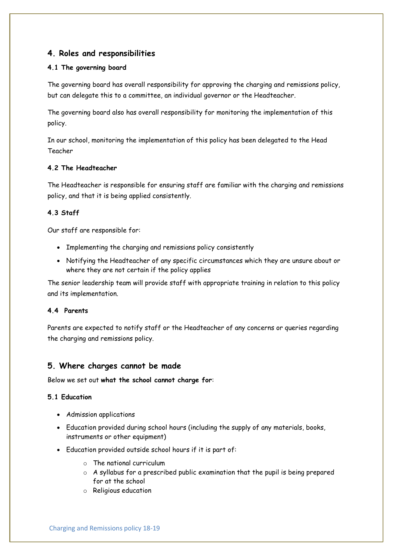# **4. Roles and responsibilities**

#### **4.1 The governing board**

The governing board has overall responsibility for approving the charging and remissions policy, but can delegate this to a committee, an individual governor or the Headteacher.

The governing board also has overall responsibility for monitoring the implementation of this policy.

In our school, monitoring the implementation of this policy has been delegated to the Head Teacher

#### **4.2 The Headteacher**

The Headteacher is responsible for ensuring staff are familiar with the charging and remissions policy, and that it is being applied consistently.

#### **4.3 Staff**

Our staff are responsible for:

- Implementing the charging and remissions policy consistently
- Notifying the Headteacher of any specific circumstances which they are unsure about or where they are not certain if the policy applies

The senior leadership team will provide staff with appropriate training in relation to this policy and its implementation.

#### **4.4 Parents**

Parents are expected to notify staff or the Headteacher of any concerns or queries regarding the charging and remissions policy.

# **5. Where charges cannot be made**

Below we set out **what the school cannot charge for**:

#### **5.1 Education**

- Admission applications
- Education provided during school hours (including the supply of any materials, books, instruments or other equipment)
- Education provided outside school hours if it is part of:
	- o The national curriculum
	- $\circ$  A syllabus for a prescribed public examination that the pupil is being prepared for at the school
	- o Religious education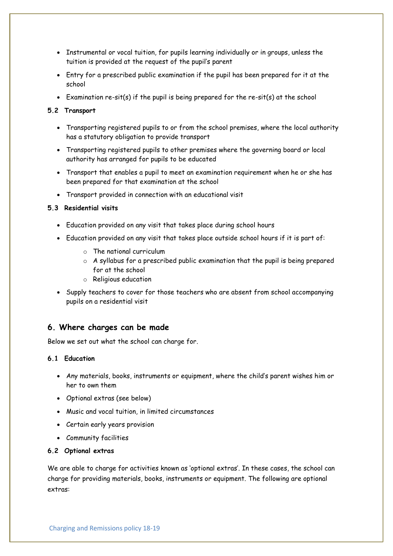- Instrumental or vocal tuition, for pupils learning individually or in groups, unless the tuition is provided at the request of the pupil's parent
- Entry for a prescribed public examination if the pupil has been prepared for it at the school
- Examination re-sit(s) if the pupil is being prepared for the re-sit(s) at the school

#### **5.2 Transport**

- Transporting registered pupils to or from the school premises, where the local authority has a statutory obligation to provide transport
- Transporting registered pupils to other premises where the governing board or local authority has arranged for pupils to be educated
- Transport that enables a pupil to meet an examination requirement when he or she has been prepared for that examination at the school
- Transport provided in connection with an educational visit

#### **5.3 Residential visits**

- Education provided on any visit that takes place during school hours
- Education provided on any visit that takes place outside school hours if it is part of:
	- o The national curriculum
	- $\circ$  A syllabus for a prescribed public examination that the pupil is being prepared for at the school
	- o Religious education
- Supply teachers to cover for those teachers who are absent from school accompanying pupils on a residential visit

# **6. Where charges can be made**

Below we set out what the school can charge for.

#### **6.1 Education**

- Any materials, books, instruments or equipment, where the child's parent wishes him or her to own them
- Optional extras (see below)
- Music and vocal tuition, in limited circumstances
- Certain early years provision
- Community facilities
- **6.2 Optional extras**

We are able to charge for activities known as 'optional extras'. In these cases, the school can charge for providing materials, books, instruments or equipment. The following are optional extras: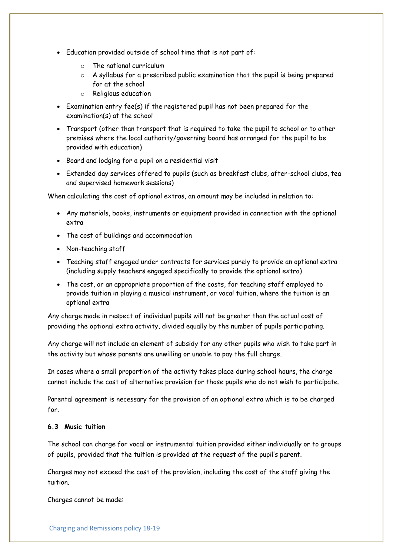- Education provided outside of school time that is not part of:
	- o The national curriculum
	- $\circ$  A syllabus for a prescribed public examination that the pupil is being prepared for at the school
	- o Religious education
- Examination entry fee(s) if the registered pupil has not been prepared for the examination(s) at the school
- Transport (other than transport that is required to take the pupil to school or to other premises where the local authority/governing board has arranged for the pupil to be provided with education)
- Board and lodging for a pupil on a residential visit
- Extended day services offered to pupils (such as breakfast clubs, after-school clubs, tea and supervised homework sessions)

When calculating the cost of optional extras, an amount may be included in relation to:

- Any materials, books, instruments or equipment provided in connection with the optional extra
- The cost of buildings and accommodation
- Non-teaching staff
- Teaching staff engaged under contracts for services purely to provide an optional extra (including supply teachers engaged specifically to provide the optional extra)
- The cost, or an appropriate proportion of the costs, for teaching staff employed to provide tuition in playing a musical instrument, or vocal tuition, where the tuition is an optional extra

Any charge made in respect of individual pupils will not be greater than the actual cost of providing the optional extra activity, divided equally by the number of pupils participating.

Any charge will not include an element of subsidy for any other pupils who wish to take part in the activity but whose parents are unwilling or unable to pay the full charge.

In cases where a small proportion of the activity takes place during school hours, the charge cannot include the cost of alternative provision for those pupils who do not wish to participate.

Parental agreement is necessary for the provision of an optional extra which is to be charged for.

#### **6.3 Music tuition**

The school can charge for vocal or instrumental tuition provided either individually or to groups of pupils, provided that the tuition is provided at the request of the pupil's parent.

Charges may not exceed the cost of the provision, including the cost of the staff giving the tuition.

Charges cannot be made: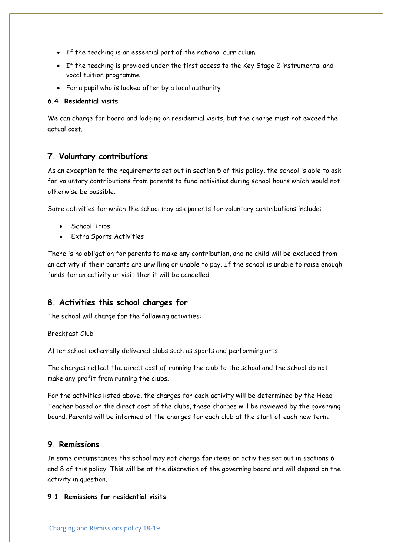- If the teaching is an essential part of the national curriculum
- If the teaching is provided under the first access to the Key Stage 2 instrumental and vocal tuition programme
- For a pupil who is looked after by a local authority

#### **6.4 Residential visits**

We can charge for board and lodging on residential visits, but the charge must not exceed the actual cost.

# **7. Voluntary contributions**

As an exception to the requirements set out in section 5 of this policy, the school is able to ask for voluntary contributions from parents to fund activities during school hours which would not otherwise be possible.

Some activities for which the school may ask parents for voluntary contributions include:

- School Trips
- Extra Sports Activities

There is no obligation for parents to make any contribution, and no child will be excluded from an activity if their parents are unwilling or unable to pay. If the school is unable to raise enough funds for an activity or visit then it will be cancelled.

# **8. Activities this school charges for**

The school will charge for the following activities:

#### Breakfast Club

After school externally delivered clubs such as sports and performing arts.

The charges reflect the direct cost of running the club to the school and the school do not make any profit from running the clubs.

For the activities listed above, the charges for each activity will be determined by the Head Teacher based on the direct cost of the clubs, these charges will be reviewed by the governing board. Parents will be informed of the charges for each club at the start of each new term.

#### **9. Remissions**

In some circumstances the school may not charge for items or activities set out in sections 6 and 8 of this policy. This will be at the discretion of the governing board and will depend on the activity in question.

#### **9.1 Remissions for residential visits**